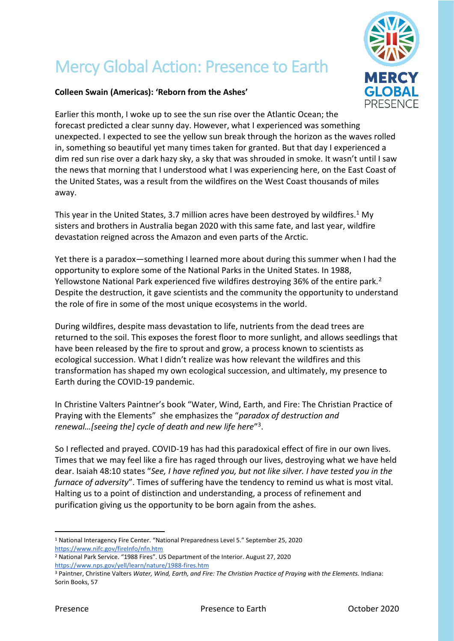## Mercy Global Action: Presence to Earth



## **Colleen Swain (Americas): 'Reborn from the Ashes'**

Earlier this month, I woke up to see the sun rise over the Atlantic Ocean; the forecast predicted a clear sunny day. However, what I experienced was something unexpected. I expected to see the yellow sun break through the horizon as the waves rolled in, something so beautiful yet many times taken for granted. But that day I experienced a dim red sun rise over a dark hazy sky, a sky that was shrouded in smoke. It wasn't until I saw the news that morning that I understood what I was experiencing here, on the East Coast of the United States, was a result from the wildfires on the West Coast thousands of miles away.

This year in the United States, 3.7 million acres have been destroyed by wildfires.<sup>1</sup> My sisters and brothers in Australia began 2020 with this same fate, and last year, wildfire devastation reigned across the Amazon and even parts of the Arctic.

Yet there is a paradox—something I learned more about during this summer when I had the opportunity to explore some of the National Parks in the United States. In 1988, Yellowstone National Park experienced five wildfires destroying 36% of the entire park.<sup>2</sup> Despite the destruction, it gave scientists and the community the opportunity to understand the role of fire in some of the most unique ecosystems in the world.

During wildfires, despite mass devastation to life, nutrients from the dead trees are returned to the soil. This exposes the forest floor to more sunlight, and allows seedlings that have been released by the fire to sprout and grow, a process known to scientists as ecological succession. What I didn't realize was how relevant the wildfires and this transformation has shaped my own ecological succession, and ultimately, my presence to Earth during the COVID-19 pandemic.

In Christine Valters Paintner's book "Water, Wind, Earth, and Fire: The Christian Practice of Praying with the Elements" she emphasizes the "*paradox of destruction and renewal…[seeing the] cycle of death and new life here*" 3 .

So I reflected and prayed. COVID-19 has had this paradoxical effect of fire in our own lives. Times that we may feel like a fire has raged through our lives, destroying what we have held dear. Isaiah 48:10 states "*See, I have refined you, but not like silver. I have tested you in the furnace of adversity*". Times of suffering have the tendency to remind us what is most vital. Halting us to a point of distinction and understanding, a process of refinement and purification giving us the opportunity to be born again from the ashes.

<sup>1</sup> National Interagency Fire Center. "National Preparedness Level 5." September 25, 2020 <https://www.nifc.gov/fireInfo/nfn.htm>

<sup>2</sup> National Park Service. "1988 Fires". US Department of the Interior. August 27, 2020 <https://www.nps.gov/yell/learn/nature/1988-fires.htm>

<sup>3</sup> Paintner, Christine Valters *Water, Wind, Earth, and Fire: The Christian Practice of Praying with the Elements.* Indiana: Sorin Books, 57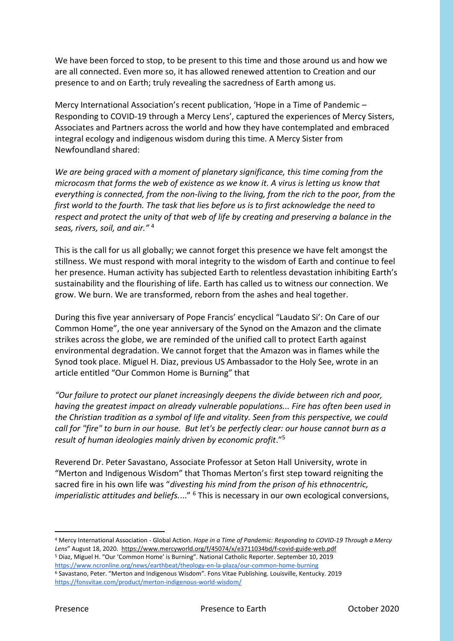We have been forced to stop, to be present to this time and those around us and how we are all connected. Even more so, it has allowed renewed attention to Creation and our presence to and on Earth; truly revealing the sacredness of Earth among us.

Mercy International Association's recent publication, 'Hope in a Time of Pandemic – Responding to COVID-19 through a Mercy Lens', captured the experiences of Mercy Sisters, Associates and Partners across the world and how they have contemplated and embraced integral ecology and indigenous wisdom during this time. A Mercy Sister from Newfoundland shared:

*We are being graced with a moment of planetary significance, this time coming from the microcosm that forms the web of existence as we know it. A virus is letting us know that everything is connected, from the non-living to the living, from the rich to the poor, from the first world to the fourth. The task that lies before us is to first acknowledge the need to respect and protect the unity of that web of life by creating and preserving a balance in the seas, rivers, soil, and air."* <sup>4</sup>

This is the call for us all globally; we cannot forget this presence we have felt amongst the stillness. We must respond with moral integrity to the wisdom of Earth and continue to feel her presence. Human activity has subjected Earth to relentless devastation inhibiting Earth's sustainability and the flourishing of life. Earth has called us to witness our connection. We grow. We burn. We are transformed, reborn from the ashes and heal together.

During this five year anniversary of Pope Francis' encyclical "Laudato Si': On Care of our Common Home", the one year anniversary of the Synod on the Amazon and the climate strikes across the globe, we are reminded of the unified call to protect Earth against environmental degradation. We cannot forget that the Amazon was in flames while the Synod took place. Miguel H. Diaz, previous US Ambassador to the Holy See, wrote in an article entitled "Our Common Home is Burning" that

*"Our failure to protect our planet increasingly deepens the divide between rich and poor, having the greatest impact on already vulnerable populations... Fire has often been used in the Christian tradition as a symbol of life and vitality. Seen from this perspective, we could call for "fire" to burn in our house. But let's be perfectly clear: our house cannot burn as a result of human ideologies mainly driven by economic profit*."<sup>5</sup>

Reverend Dr. Peter Savastano, Associate Professor at Seton Hall University, wrote in "Merton and Indigenous Wisdom" that Thomas Merton's first step toward reigniting the sacred fire in his own life was "*divesting his mind from the prison of his ethnocentric, imperialistic attitudes and beliefs.*..." <sup>6</sup> This is necessary in our own ecological conversions,

<sup>4</sup> Mercy International Association - Global Action. *Hope in a Time of Pandemic: Responding to COVID-19 Through a Mercy Lens*" August 18, 2020. <https://www.mercyworld.org/f/45074/x/e3711034bd/f-covid-guide-web.pdf> <sup>5</sup> Diaz, Miguel H. "Our 'Common Home' is Burning". National Catholic Reporter. September 10, 2019 <https://www.ncronline.org/news/earthbeat/theology-en-la-plaza/our-common-home-burning> <sup>6</sup> Savastano, Peter. "Merton and Indigenous Wisdom". Fons Vitae Publishing. Louisville, Kentucky. 2019 <https://fonsvitae.com/product/merton-indigenous-world-wisdom/>